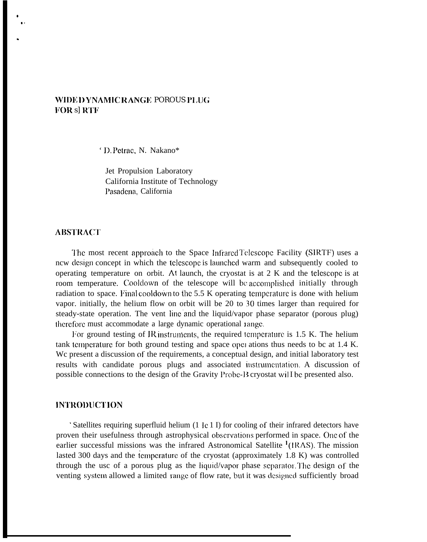# WIDE DYNAMIC RANGE POROUS PLUG **FOR s] RTF**

' D. Petrac. N. Nakano\*

Jet Propulsion Laboratory California Institute of Technology l'asadcna, California

## **ABSTRACrl'**

● s.

.

The most recent approach to the Space Infrared Telescope Facility (SIRTF) uses a ncw design concept in which the telescope is launched warm and subsequently cooled to operating temperature on orbit. At launch, the cryostat is at 2 K and the telcscopc is at room temperature. Cooldown of the telescope will be accomplished initially through radiation to space. Final cooldown to the  $5.5$  K operating temperature is done with helium vapor. initially, the helium flow on orbit will be 20 to 30 times larger than required for steady-state operation. The vent line and the liquid/vapor phase separator (porous plug) therefore must accommodate a large dynamic operational range.

For ground testing of IR instruments, the required temperature is  $1.5$  K. The helium tank tcmpcraturc for both ground testing and space opel ations thus needs to bc at 1.4 K. Wc present a discussion of the requirements, a conceptual design, and initial laboratory test results with candidate porous plugs and associated instrumentation. A discussion of possible connections to the design of the Gravity Probe-B cryostat will be presented also.

### **IN'I'l{OI)lIC'I'1 0N"**

' Satellites requiring superfluid helium (1 IC 1 I) for cooling of their infrared detectors have proven their usefulness through astrophysical observations performed in space. One of the earlier successful missions was the infrared Astronomical Satellite  $<sup>1</sup>(IRAS)$ . The mission</sup> lasted 300 days and the lcmpcraturc of the cryostat (approximately 1.8 K) was controlled through the usc of a porous plug as the liquid/vapor phase separator. The design of the venting system allowed a limited range of flow rate, but it was designed sufficiently broad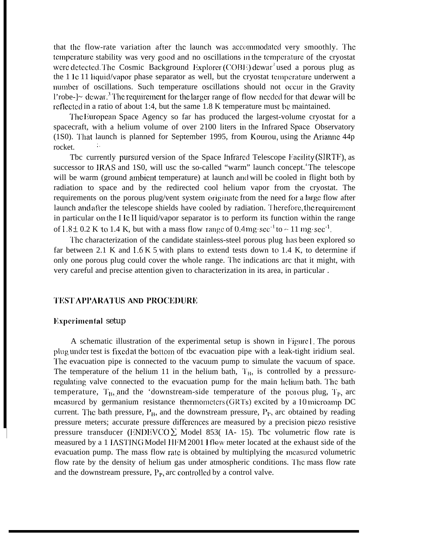that the flow-rate variation after the launch was accommodated very smoothly. The temperature stability was very good and no oscillations in the temperature of the cryostat were detected. The Cosmic Background Explorer (COBE) dewar<sup>2</sup>used a porous plug as the 1 Ic 11 liquid/vapor phase separator as well, but the cryostat temperature underwent a number of oscillations. Such temperature oscillations should not occur in the Gravity l'robe- $\sim$  dewar.<sup>3</sup> The requirement for the larger range of flow needed for that dewar will be rcflcctcd in a ratio of about 1:4, but the same 1.8 K temperature must bc maintained.

'1'hc I;uropcan Space Agency so far has produced the largest-volume cryostat for a spacecraft, with a helium volume of over 2100 liters in the Infrared Space Observatory (1S0). That launch is planned for September 1995, from Kourou, using the Arianne  $44p$ rocket.

Tbc currently pursured version of the Space Infrared Telescope Facility (SIRTF), as successor to IRAS and 1S0, will usc the so-called "warm" launch concept. The telescope will be warm (ground ambient temperature) at launch and will be cooled in flight both by radiation to space and by the redirected cool helium vapor from the cryostat. The requirements on the porous plug/vent system originate from the need for a large flow after launch and after the telescope shields have cooled by radiation. Therefore, the requirement in particular on the I IC 11 liquid/vapor separator is to perform its function within the range of  $1.8 \pm 0.2$  K to 1.4 K, but with a mass flow range of 0.4 mg·sec<sup>-1</sup> to  $\sim 11$  mg·sec<sup>-1</sup>.

The characterization of the candidate stainless-steel porous plug has been explored so far between 2.1 K and  $1.6 K 5$  with plans to extend tests down to 1.4 K, to determine if only one porous plug could cover the whole range. l'hc indications arc that it might, with very careful and precise attention given to characterization in its area, in particular .

## **'l'ltSrl' AI'I'ARA1'US AND PROCKI)URK**

#### **Experimental setup**

I

A schematic illustration of the experimental setup is shown in Figure 1. The porous plug under test is fixed at the bottom of tbc evacuation pipe with a leak-tight iridium seal. The evacuation pipe is connected to the vacuum pump to simulate the vacuum of space. The temperature of the helium 11 in the helium bath,  $T_B$ , is controlled by a pressurcregulating valve connected to the evacuation pump for the main helium bath. The bath temperature,  $T_{B}$ , and the 'downstream-side temperature of the polous plug,  $T_{P}$ , arc measured by germanium resistance thermometers (GRTs) excited by a  $10$  microamp DC current. The bath pressure,  $P_B$ , and the downstream pressure,  $P_P$ , arc obtained by reading pressure meters; accurate pressure differences are measured by a precision piezo resistive pressure transducer (ENDEVCO $\Sigma$  Model 853(IA-15). Tbc volumetric flow rate is measured by a 1 IASTING Model IIFM 2001 I flow meter located at the exhaust side of the evacuation pump. The mass flow rate is obtained by multiplying the measured volumetric flow rate by the density of helium gas under atmospheric conditions. The mass flow rate and the downstream pressure,  $P_p$ , arc controlled by a control valve.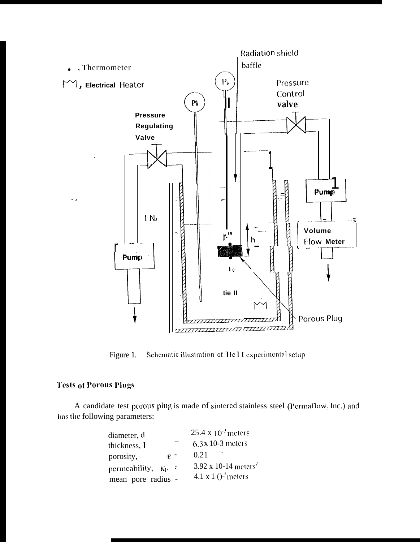

Schematic illustration of Hel I experimental setup Figure 1.

# **Tests of Porous Plugs**

A candidate test porous plug is made of sintered stainless steel (Permaflow, Inc.) and has the following parameters:

| diameter, d                          | 25.4 x $10^{-3}$ meters             |
|--------------------------------------|-------------------------------------|
| thickness, l                         | $6.3x$ 10-3 meters                  |
| $E =$<br>porosity,                   | 0.21                                |
| permeability, $\kappa_{P}$<br>$\sim$ | 3.92 x 10-14 meters <sup>2</sup>    |
| mean pore radius $=$                 | 4.1 $\times$ 1 ()- $\degree$ meters |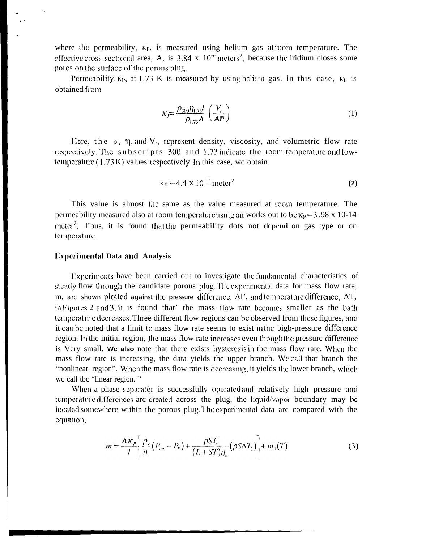where the permeability,  $K_P$ , is measured using helium gas at room temperature. The effective cross-sectional area, A, is 3.84 x  $10^{34}$  meters<sup>2</sup>, because the iridium closes some pores on the surface of the porous plug.

Permeability,  $\kappa_P$ , at 1.73 K is measured by using helium gas. In this case,  $\kappa_P$  is obtained from

$$
\kappa_{\vec{P}} = \frac{\rho_{300} \eta_{1.73} l}{\rho_{1.73} A} \left(\frac{V_{\mu}}{AP}\right) \tag{1}
$$

Here, the  $p$ ,  $\eta$ , and  $V_r$ , represent density, viscosity, and volumetric flow rate respectively. The subscripts 300 and 1.73 indicate the room-temperature and lowtemperature  $(1.73 \text{ K})$  values respectively. In this case, we obtain

$$
K_{\rm P} = 4.4 \times 10^{-14} \,\text{meter}^2 \tag{2}
$$

This value is almost the same as the value measured at room temperature. The permeability measured also at room temperature using air works out to be  $\kappa_p = 3.98 \times 10^{-14}$ meter<sup>2</sup>. I'bus, it is found that the permeability dots not depend on gas type or on temperature.

## **Experimental Data and Analysis**

Experiments have been carried out to investigate the fundamental characteristics of steady flow through the candidate porous plug. The experimental data for mass flow rate, m, are shown plotted against the pressure difference, AI', and temperature difference, AT, in Figures 2 and 3. It is found that' the mass flow rate becomes smaller as the bath temperature decreases. Three different flow regions can be observed from these figures, and it can be noted that a limit to mass flow rate seems to exist in the bigb-pressure difference region. In the initial region, the mass flow rate increases even though the pressure difference is Very small. We also note that there exists hysteresis in the mass flow rate. When the mass flow rate is increasing, the data yields the upper branch. We call that branch the "nonlinear region". When the mass flow rate is decreasing, it yields the lower branch, which we call the "linear region."

When a phase separator is successfully operated and relatively high pressure and temperature differences are created across the plug, the liquid/vapor boundary may be located somewhere within the porous plug. The experimental data are compared with the equation,

$$
m = \frac{A\kappa_P}{l} \left[ \frac{\rho_v}{\eta_v} \left( P_{\rm sat} - P_v \right) + \frac{\rho S T}{(L + ST)\eta_n} \left( \rho S \Delta T_2 \right) \right] + m_0(T) \tag{3}
$$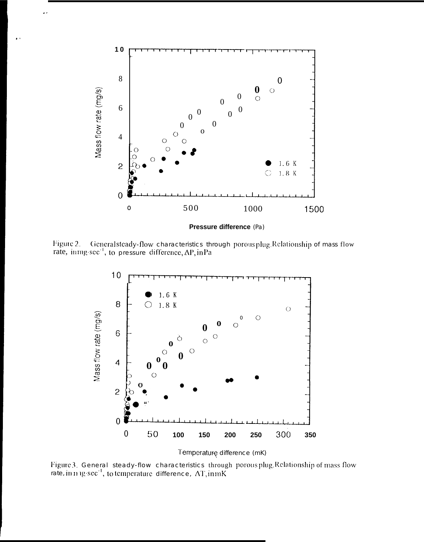

Figure 2. Generalsteady-flow characteristics through porous plug. Relationship of mass flow rate, ining-sec<sup>-1</sup>, to pressure difference, AP, in Pa



Temperaturę difference (mK)

Figure 3. General steady-flow characteristics through porousplug. Relationship of mass flow rate, in mig-sec<sup>-1</sup>, to temperature difference,  $AT, \text{inmK}$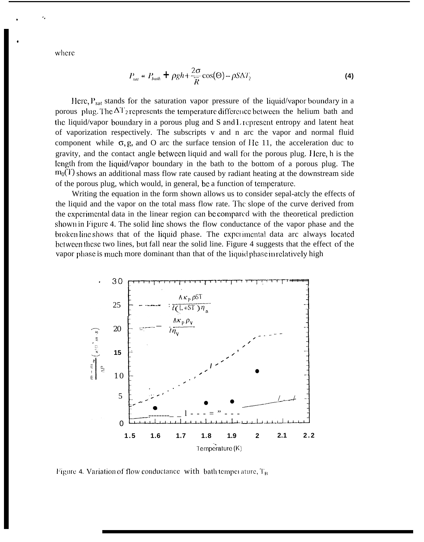where

$$
P_{sat} = P_{bath} + \rho g h + \frac{2\sigma}{R} \cos(\Theta) - \rho S \Delta T_2
$$
 (4)

Here,  $P_{sat}$  stands for the saturation vapor pressure of the liquid/vapor boundary in a porous plug. The  $\Delta T_2$  represents the temperature difference between the helium bath and the liquid/vapor boundary in a porous plug and S and L represent entropy and latent heat of vaporization respectively. The subscripts v and n arc the vapor and normal fluid component while  $\sigma$ , g, and O arc the surface tension of He 11, the acceleration duc to gravity, and the contact angle between liquid and wall for the porous plug. Here, h is the length from the liquid/vapor boundary in the bath to the bottom of a porous plug. The  $m_0(T)$  shows an additional mass flow rate caused by radiant heating at the downstream side of the porous plug, which would, in general, be a function of temperature.

Writing the equation in the form shown allows us to consider sepal-atcly the effects of the liquid and the vapor on the total mass flow rate. The slope of the curve derived from the experimental data in the linear region can be compared with the theoretical prediction shown in Figure 4. The solid line shows the flow conductance of the vapor phase and the broken line shows that of the liquid phase. The experimental data are always located between these two lines, but fall near the solid line. Figure 4 suggests that the effect of the vapor phase is much more dominant than that of the liquid phase in relatively high



Figure 4. Variation of flow conductance with bath temperature,  $T_B$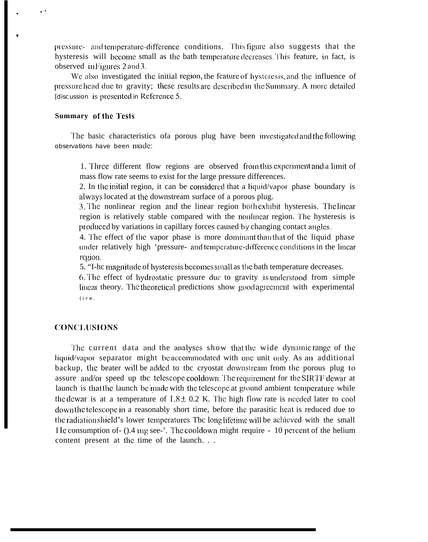pressure- and temperature-difference conditions. This figure also suggests that the hysteresis will become small as the bath temperature decreases. This feature, in fact, is observed in Figures 2 and 3.

We also investigated the initial region, the feature of hysteresis, and the influence of pressure head due to gravity; these results are described in the Summary. A more detailed [discussion is presented in Reference 5.]

### **Summary of the Tests**

 $\ddot{\phantom{1}}$ 

The basic characteristics of aporous plug have been investigated and the following observations have been made:

1. Three different flow regions are observed from this experiment and a limit of mass flow rate seems to exist for the large pressure differences.

2. In the initial region, it can be considered that a liquid/vapor phase boundary is always located at the downstream surface of a porous plug.

3. The nonlinear region and the linear region both exhibit hysteresis. The linear region is relatively stable compared with the nonlinear region. The hysteresis is produced by variations in capillary forces caused by changing contact angles.

4. The effect of the vapor phase is more dominant than that of the liquid phase under relatively high 'pressure- and temperature-difference conditions in the linear region.

5. "I-he magnitude of hysteresis becomes small as the bath temperature decreases.

6. The effect of hydrostatic pressure due to gravity is understood from simple linear theory. The theoretical predictions show good agreement with experimental  $(i r e.$ 

## **CONCLUSIONS**

The current data and the analyses show that the wide dynamic range of the liquid/vapor separator might be accommodated with one unit only. As an additional backup, the beater will be added to tbc cryostat downstream from the porous plug to assure and/or speed up the telescope cooldown. The requirement for the SIRTF dewar at launch is that the launch be made with the telescope at ground ambient temperature while the dewar is at a temperature of  $1.8 \pm 0.2$  K. The high flow rate is needed later to cool down the telescope in a reasonably short time, before the parasitic heat is reduced due to the radiation shield's lower temperatures Tbc long lifetime will be achieved with the small I le consumption of - ().4 mg see -'. The cooldown might require - 10 percent of the helium content present at the time of the launch. . .